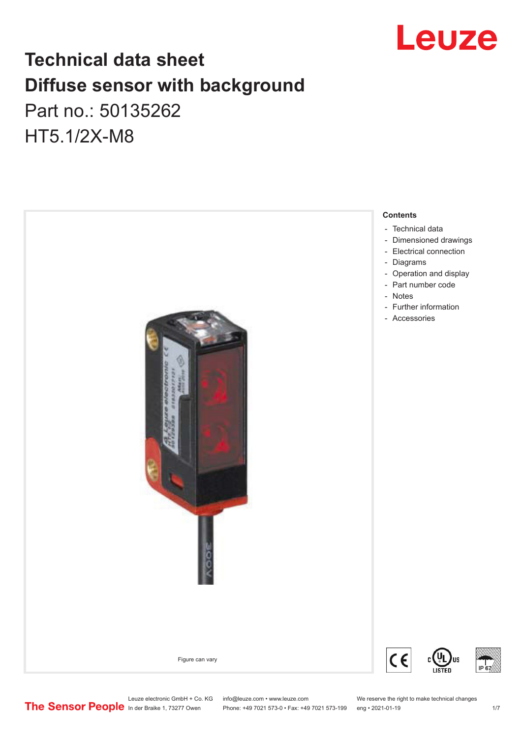

# **Technical data sheet Diffuse sensor with background**  Part no.: 50135262 HT5.1/2X-M8



Leuze electronic GmbH + Co. KG info@leuze.com • www.leuze.com We reserve the right to make technical changes<br>
The Sensor People in der Braike 1, 73277 Owen Phone: +49 7021 573-0 • Fax: +49 7021 573-199 eng • 2021-01-19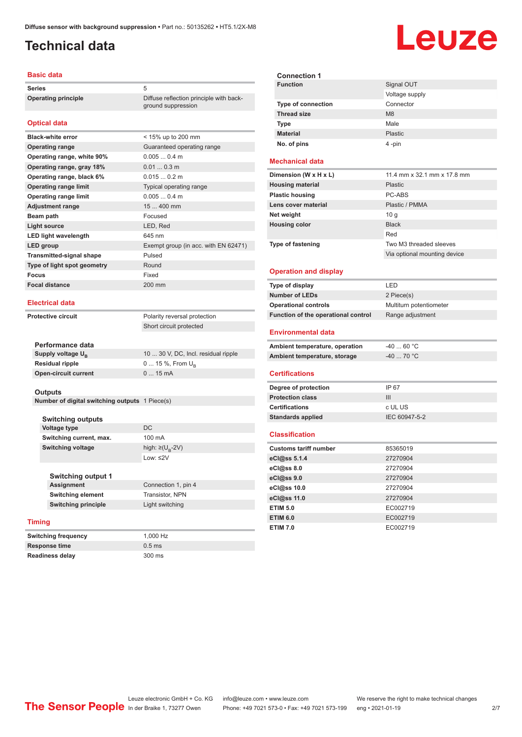ground suppression

# <span id="page-1-0"></span>**Technical data**

### **Basic data**

**Series** 5 **Operating principle** Diffuse reflection principle with back-

### **Optical data**

| <b>Black-white error</b>        | < 15% up to 200 mm                   |
|---------------------------------|--------------------------------------|
| <b>Operating range</b>          | Guaranteed operating range           |
| Operating range, white 90%      | 0.0050.4 m                           |
| Operating range, gray 18%       | $0.010.3$ m                          |
| Operating range, black 6%       | 0.0150.2 m                           |
| <b>Operating range limit</b>    | Typical operating range              |
| <b>Operating range limit</b>    | 0.0050.4 m                           |
| <b>Adjustment range</b>         | 15  400 mm                           |
| Beam path                       | Focused                              |
| Light source                    | LED, Red                             |
| <b>LED light wavelength</b>     | 645 nm                               |
| LED group                       | Exempt group (in acc. with EN 62471) |
| <b>Transmitted-signal shape</b> | Pulsed                               |
| Type of light spot geometry     | Round                                |
| Focus                           | Fixed                                |
| <b>Focal distance</b>           | 200 mm                               |
|                                 |                                      |

### **Electrical data**

**Protective circuit** Polarity reversal protection

Short circuit protected

| Performance data              |                                     |
|-------------------------------|-------------------------------------|
| Supply voltage U <sub>p</sub> | 10  30 V, DC, Incl. residual ripple |
| <b>Residual ripple</b>        | $0 15 \%$ , From $U_{p}$            |
| <b>Open-circuit current</b>   | $015$ mA                            |
|                               |                                     |

#### **Outputs**

**Number of digital switching outputs** 1 Piece(s)

**Switching outputs Voltage type** DC **Switching current, max.** 100 mA **Switching voltage** 

**Switching output 1 Switching element** Transistor, NPN

**Switching principle** Light switching

### **Timing**

**Switching frequency** 1,000 Hz **Response time** 0.5 ms **Readiness delay** 300 ms

**Connection 1, pin 4** 

high:  $\geq (U_B - 2V)$ Low: ≤2V

| <b>Connection 1</b>       |                |
|---------------------------|----------------|
| <b>Function</b>           | Signal OUT     |
|                           | Voltage supply |
| <b>Type of connection</b> | Connector      |
| <b>Thread size</b>        | M8             |
| <b>Type</b>               | Male           |
| <b>Material</b>           | Plastic        |
| No. of pins               | 4-pin          |

Leuze

### **Mechanical data**

| Dimension (W x H x L)    | 11.4 mm x 32.1 mm x 17.8 mm  |
|--------------------------|------------------------------|
| <b>Housing material</b>  | <b>Plastic</b>               |
| <b>Plastic housing</b>   | PC-ABS                       |
| Lens cover material      | Plastic / PMMA               |
| Net weight               | 10 q                         |
| <b>Housing color</b>     | <b>Black</b>                 |
|                          | Red                          |
| <b>Type of fastening</b> | Two M3 threaded sleeves      |
|                          | Via optional mounting device |

#### **Operation and display**

| Type of display                     | I FD                    |
|-------------------------------------|-------------------------|
| <b>Number of LEDs</b>               | 2 Piece(s)              |
| <b>Operational controls</b>         | Multiturn potentiometer |
| Function of the operational control | Range adjustment        |

### **Environmental data**

| Ambient temperature, operation | -40  60 °C |
|--------------------------------|------------|
| Ambient temperature, storage   | -40  70 °C |

### **Certifications**

| Degree of protection     | IP 67         |
|--------------------------|---------------|
| <b>Protection class</b>  | Ш             |
| <b>Certifications</b>    | c UL US       |
| <b>Standards applied</b> | IEC 60947-5-2 |
|                          |               |

#### **Classification**

| <b>Customs tariff number</b> | 85365019 |
|------------------------------|----------|
| eCl@ss 5.1.4                 | 27270904 |
| eCl@ss 8.0                   | 27270904 |
| eCl@ss 9.0                   | 27270904 |
| eCl@ss 10.0                  | 27270904 |
| eCl@ss 11.0                  | 27270904 |
| <b>ETIM 5.0</b>              | EC002719 |
| <b>ETIM 6.0</b>              | EC002719 |
| <b>ETIM 7.0</b>              | EC002719 |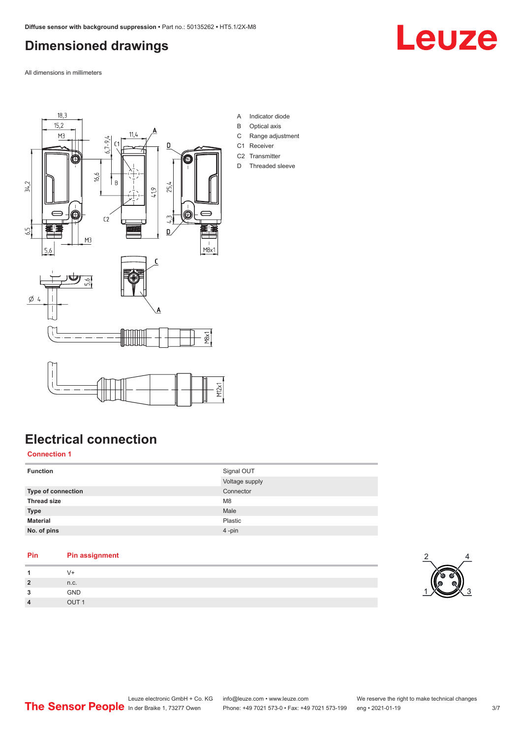# <span id="page-2-0"></span>**Dimensioned drawings**

All dimensions in millimeters





**Electrical connection**

**Connection 1**

| <b>Function</b>           | Signal OUT<br>Voltage supply |
|---------------------------|------------------------------|
| <b>Type of connection</b> | Connector                    |
| <b>Thread size</b>        | M <sub>8</sub>               |
| <b>Type</b>               | Male                         |
| <b>Material</b>           | Plastic                      |
| No. of pins               | 4-pin                        |

| Pin            | <b>Pin assignment</b> |
|----------------|-----------------------|
|                | V+                    |
| $\overline{2}$ | n.c.                  |
| 3              | <b>GND</b>            |
| $\overline{4}$ | OUT <sub>1</sub>      |

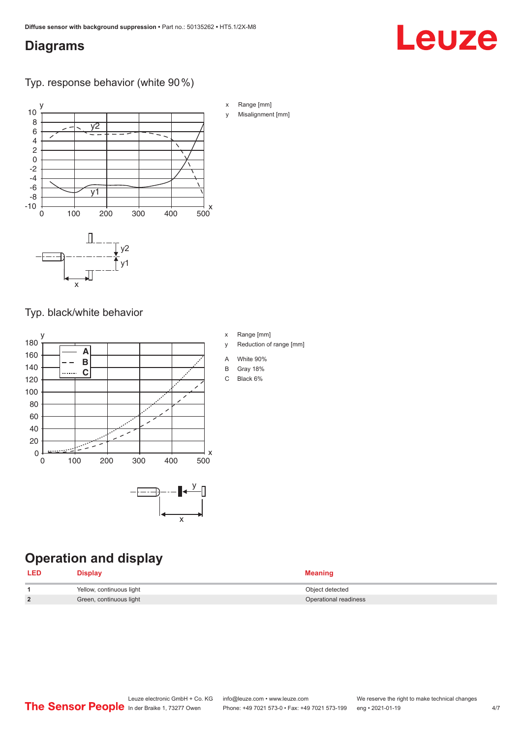# <span id="page-3-0"></span>**Diagrams**

# Typ. response behavior (white 90 %)



### Typ. black/white behavior



# **Operation and display**

| <b>LED</b> | <b>Display</b>           | <b>Meaning</b>        |
|------------|--------------------------|-----------------------|
|            | Yellow, continuous light | Object detected       |
|            | Green, continuous light  | Operational readiness |

# Leuze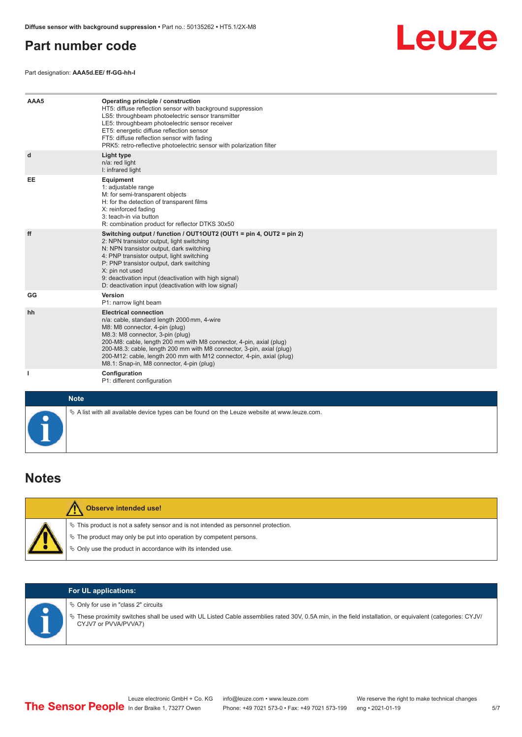# <span id="page-4-0"></span>**Part number code**

Part designation: **AAA5d.EE/ ff-GG-hh-I**



| AAA5        | Operating principle / construction<br>HT5: diffuse reflection sensor with background suppression<br>LS5: throughbeam photoelectric sensor transmitter<br>LE5: throughbeam photoelectric sensor receiver<br>ET5: energetic diffuse reflection sensor<br>FT5: diffuse reflection sensor with fading<br>PRK5: retro-reflective photoelectric sensor with polarization filter                                               |
|-------------|-------------------------------------------------------------------------------------------------------------------------------------------------------------------------------------------------------------------------------------------------------------------------------------------------------------------------------------------------------------------------------------------------------------------------|
| d           | Light type<br>n/a: red light<br>I: infrared light                                                                                                                                                                                                                                                                                                                                                                       |
| EE          | Equipment<br>1: adjustable range<br>M: for semi-transparent objects<br>H: for the detection of transparent films<br>X: reinforced fading<br>3: teach-in via button<br>R: combination product for reflector DTKS 30x50                                                                                                                                                                                                   |
| ff          | Switching output / function / OUT1OUT2 (OUT1 = pin 4, OUT2 = pin 2)<br>2: NPN transistor output, light switching<br>N: NPN transistor output, dark switching<br>4: PNP transistor output, light switching<br>P: PNP transistor output, dark switching<br>X: pin not used<br>9: deactivation input (deactivation with high signal)<br>D: deactivation input (deactivation with low signal)                               |
| GG          | Version<br>P1: narrow light beam                                                                                                                                                                                                                                                                                                                                                                                        |
| hh          | <b>Electrical connection</b><br>n/a: cable, standard length 2000 mm, 4-wire<br>M8: M8 connector, 4-pin (plug)<br>M8.3: M8 connector, 3-pin (plug)<br>200-M8: cable, length 200 mm with M8 connector, 4-pin, axial (plug)<br>200-M8.3: cable, length 200 mm with M8 connector, 3-pin, axial (plug)<br>200-M12: cable, length 200 mm with M12 connector, 4-pin, axial (plug)<br>M8.1: Snap-in, M8 connector, 4-pin (plug) |
| L           | Configuration<br>P1: different configuration                                                                                                                                                                                                                                                                                                                                                                            |
| <b>Note</b> |                                                                                                                                                                                                                                                                                                                                                                                                                         |

|  | <b>Observe intended use!</b>                                                                                                                                   |
|--|----------------------------------------------------------------------------------------------------------------------------------------------------------------|
|  | $\%$ This product is not a safety sensor and is not intended as personnel protection.<br>$\&$ The product may only be put into operation by competent persons. |
|  | ♦ Only use the product in accordance with its intended use.                                                                                                    |

 $\&$  A list with all available device types can be found on the Leuze website at www.leuze.com.

### **For UL applications:**

 $\%$  Only for use in "class 2" circuits

ª These proximity switches shall be used with UL Listed Cable assemblies rated 30V, 0.5A min, in the field installation, or equivalent (categories: CYJV/ CYJV7 or PVVA/PVVA7)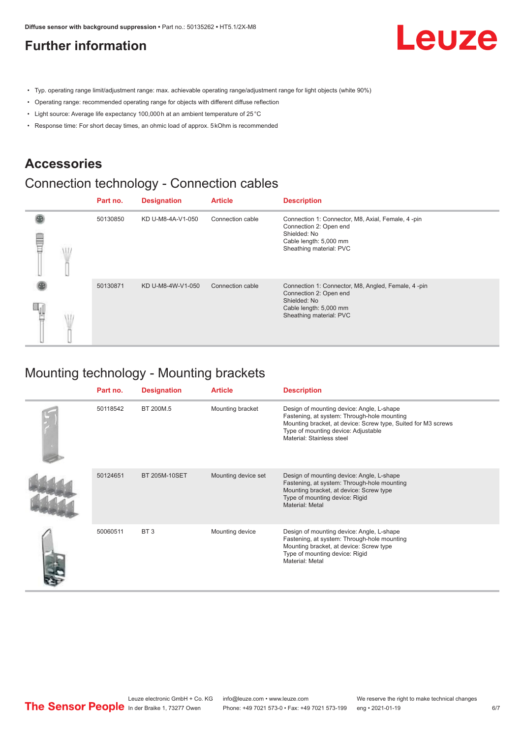### <span id="page-5-0"></span>**Further information**



- Typ. operating range limit/adjustment range: max. achievable operating range/adjustment range for light objects (white 90%)
- Operating range: recommended operating range for objects with different diffuse reflection
- Light source: Average life expectancy 100,000 h at an ambient temperature of 25 °C
- Response time: For short decay times, an ohmic load of approx. 5 kOhm is recommended

### **Accessories**

# Connection technology - Connection cables

|  | Part no. | <b>Designation</b> | <b>Article</b>   | <b>Description</b>                                                                                                                                |
|--|----------|--------------------|------------------|---------------------------------------------------------------------------------------------------------------------------------------------------|
|  | 50130850 | KD U-M8-4A-V1-050  | Connection cable | Connection 1: Connector, M8, Axial, Female, 4-pin<br>Connection 2: Open end<br>Shielded: No<br>Cable length: 5,000 mm<br>Sheathing material: PVC  |
|  | 50130871 | KD U-M8-4W-V1-050  | Connection cable | Connection 1: Connector, M8, Angled, Female, 4-pin<br>Connection 2: Open end<br>Shielded: No<br>Cable length: 5,000 mm<br>Sheathing material: PVC |

# Mounting technology - Mounting brackets

| Part no. | <b>Designation</b>   | <b>Article</b>      | <b>Description</b>                                                                                                                                                                                                            |
|----------|----------------------|---------------------|-------------------------------------------------------------------------------------------------------------------------------------------------------------------------------------------------------------------------------|
| 50118542 | BT 200M.5            | Mounting bracket    | Design of mounting device: Angle, L-shape<br>Fastening, at system: Through-hole mounting<br>Mounting bracket, at device: Screw type, Suited for M3 screws<br>Type of mounting device: Adjustable<br>Material: Stainless steel |
| 50124651 | <b>BT 205M-10SET</b> | Mounting device set | Design of mounting device: Angle, L-shape<br>Fastening, at system: Through-hole mounting<br>Mounting bracket, at device: Screw type<br>Type of mounting device: Rigid<br>Material: Metal                                      |
| 50060511 | BT <sub>3</sub>      | Mounting device     | Design of mounting device: Angle, L-shape<br>Fastening, at system: Through-hole mounting<br>Mounting bracket, at device: Screw type<br>Type of mounting device: Rigid<br>Material: Metal                                      |